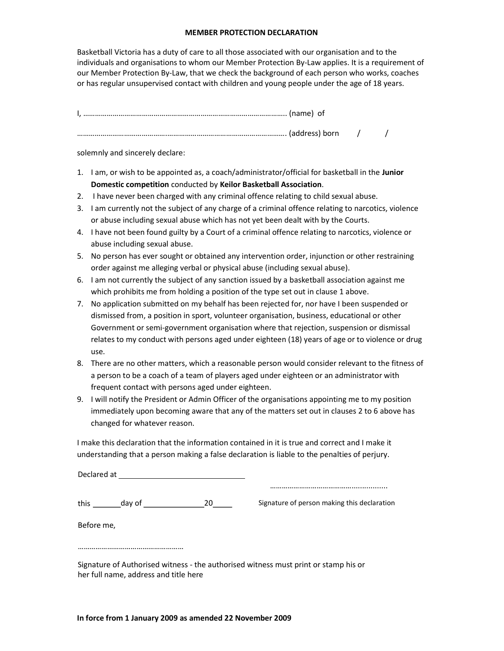## MEMBER PROTECTION DECLARATION

Basketball Victoria has a duty of care to all those associated with our organisation and to the individuals and organisations to whom our Member Protection By-Law applies. It is a requirement of our Member Protection By-Law, that we check the background of each person who works, coaches or has regular unsupervised contact with children and young people under the age of 18 years.

solemnly and sincerely declare:

- 1. I am, or wish to be appointed as, a coach/administrator/official for basketball in the Junior Domestic competition conducted by Keilor Basketball Association.
- 2. I have never been charged with any criminal offence relating to child sexual abuse.
- 3. I am currently not the subject of any charge of a criminal offence relating to narcotics, violence or abuse including sexual abuse which has not yet been dealt with by the Courts.
- 4. I have not been found guilty by a Court of a criminal offence relating to narcotics, violence or abuse including sexual abuse.
- 5. No person has ever sought or obtained any intervention order, injunction or other restraining order against me alleging verbal or physical abuse (including sexual abuse).
- 6. I am not currently the subject of any sanction issued by a basketball association against me which prohibits me from holding a position of the type set out in clause 1 above.
- 7. No application submitted on my behalf has been rejected for, nor have I been suspended or dismissed from, a position in sport, volunteer organisation, business, educational or other Government or semi-government organisation where that rejection, suspension or dismissal relates to my conduct with persons aged under eighteen (18) years of age or to violence or drug use.
- 8. There are no other matters, which a reasonable person would consider relevant to the fitness of a person to be a coach of a team of players aged under eighteen or an administrator with frequent contact with persons aged under eighteen.
- 9. I will notify the President or Admin Officer of the organisations appointing me to my position immediately upon becoming aware that any of the matters set out in clauses 2 to 6 above has changed for whatever reason.

I make this declaration that the information contained in it is true and correct and I make it understanding that a person making a false declaration is liable to the penalties of perjury.

this day of <sup>20</sup> ……………………………………................. Signature of person making this declaration

………………………………………………

Before me,

Signature of Authorised witness - the authorised witness must print or stamp his or her full name, address and title here